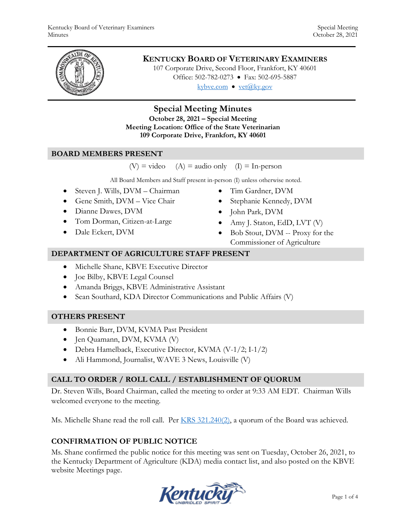

# **KENTUCKY BOARD OF VETERINARY EXAMINERS**

107 Corporate Drive, Second Floor, Frankfort, KY 40601 Office: 502-782-0273 • Fax: 502-695-5887 kybve.com  $\bullet$  yet $(\partial_k ky.gov)$ 

## **Special Meeting Minutes**

**October 28, 2021 – Special Meeting Meeting Location: Office of the State Veterinarian 109 Corporate Drive, Frankfort, KY 40601**

## **BOARD MEMBERS PRESENT**

 $(V)$  = video (A) = audio only (I) = In-person

All Board Members and Staff present in-person (I) unless otherwise noted.

- Steven J. Wills, DVM Chairman
- Gene Smith, DVM Vice Chair
- Dianne Dawes, DVM
- Tom Dorman, Citizen-at-Large
- Dale Eckert, DVM
- Tim Gardner, DVM
- Stephanie Kennedy, DVM
- John Park, DVM
- Amy J. Staton, EdD, LVT (V)
- Bob Stout, DVM -- Proxy for the Commissioner of Agriculture

#### **DEPARTMENT OF AGRICULTURE STAFF PRESENT**

- Michelle Shane, KBVE Executive Director
- Joe Bilby, KBVE Legal Counsel
- Amanda Briggs, KBVE Administrative Assistant
- Sean Southard, KDA Director Communications and Public Affairs (V)

## **OTHERS PRESENT**

- Bonnie Barr, DVM, KVMA Past President
- Jen Quamann, DVM, KVMA (V)
- Debra Hamelback, Executive Director, KVMA (V-1/2; I-1/2)
- Ali Hammond, Journalist, WAVE 3 News, Louisville (V)

## **CALL TO ORDER / ROLL CALL / ESTABLISHMENT OF QUORUM**

Dr. Steven Wills, Board Chairman, called the meeting to order at 9:33 AM EDT. Chairman Wills welcomed everyone to the meeting.

Ms. Michelle Shane read the roll call. Per [KRS 321.240\(2\),](https://apps.legislature.ky.gov/law/statutes/statute.aspx?id=45333) a quorum of the Board was achieved.

## **CONFIRMATION OF PUBLIC NOTICE**

Ms. Shane confirmed the public notice for this meeting was sent on Tuesday, October 26, 2021, to the Kentucky Department of Agriculture (KDA) media contact list, and also posted on the KBVE website Meetings page.

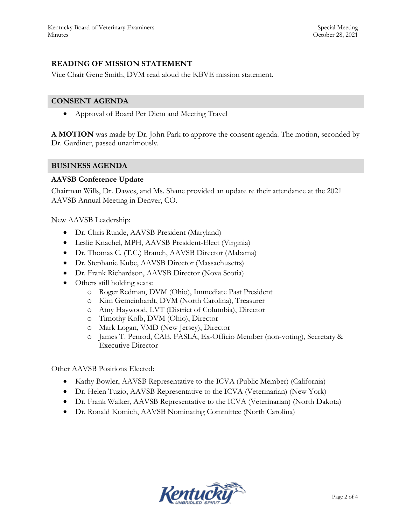## **READING OF MISSION STATEMENT**

Vice Chair Gene Smith, DVM read aloud the KBVE mission statement.

#### **CONSENT AGENDA**

Approval of Board Per Diem and Meeting Travel

**A MOTION** was made by Dr. John Park to approve the consent agenda. The motion, seconded by Dr. Gardiner, passed unanimously.

#### **BUSINESS AGENDA**

#### **AAVSB Conference Update**

Chairman Wills, Dr. Dawes, and Ms. Shane provided an update re their attendance at the 2021 AAVSB Annual Meeting in Denver, CO.

New AAVSB Leadership:

- Dr. Chris Runde, AAVSB President (Maryland)
- Leslie Knachel, MPH, AAVSB President-Elect (Virginia)
- Dr. Thomas C. (T.C.) Branch, AAVSB Director (Alabama)
- Dr. Stephanie Kube, AAVSB Director (Massachusetts)
- Dr. Frank Richardson, AAVSB Director (Nova Scotia)
- Others still holding seats:
	- o Roger Redman, DVM (Ohio), Immediate Past President
	- o Kim Gemeinhardt, DVM (North Carolina), Treasurer
	- o Amy Haywood, LVT (District of Columbia), Director
	- o Timothy Kolb, DVM (Ohio), Director
	- o Mark Logan, VMD (New Jersey), Director
	- o James T. Penrod, CAE, FASLA, Ex-Officio Member (non-voting), Secretary & Executive Director

Other AAVSB Positions Elected:

- Kathy Bowler, AAVSB Representative to the ICVA (Public Member) (California)
- Dr. Helen Tuzio, AAVSB Representative to the ICVA (Veterinarian) (New York)
- Dr. Frank Walker, AAVSB Representative to the ICVA (Veterinarian) (North Dakota)
- Dr. Ronald Komich, AAVSB Nominating Committee (North Carolina)

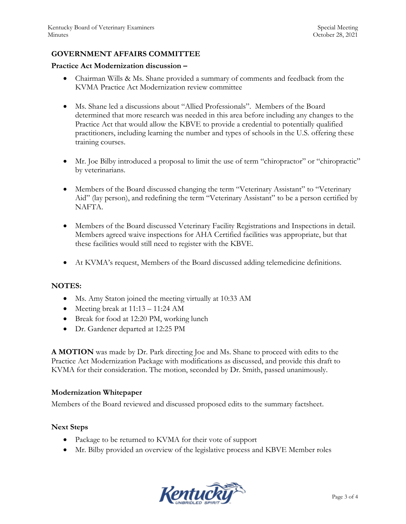## **GOVERNMENT AFFAIRS COMMITTEE**

#### **Practice Act Modernization discussion –**

- Chairman Wills & Ms. Shane provided a summary of comments and feedback from the KVMA Practice Act Modernization review committee
- Ms. Shane led a discussions about "Allied Professionals". Members of the Board determined that more research was needed in this area before including any changes to the Practice Act that would allow the KBVE to provide a credential to potentially qualified practitioners, including learning the number and types of schools in the U.S. offering these training courses.
- Mr. Joe Bilby introduced a proposal to limit the use of term "chiropractor" or "chiropractic" by veterinarians.
- Members of the Board discussed changing the term "Veterinary Assistant" to "Veterinary Aid" (lay person), and redefining the term "Veterinary Assistant" to be a person certified by NAFTA.
- Members of the Board discussed Veterinary Facility Registrations and Inspections in detail. Members agreed waive inspections for AHA Certified facilities was appropriate, but that these facilities would still need to register with the KBVE.
- At KVMA's request, Members of the Board discussed adding telemedicine definitions.

#### **NOTES:**

- Ms. Amy Staton joined the meeting virtually at 10:33 AM
- Meeting break at  $11:13 11:24$  AM
- Break for food at 12:20 PM, working lunch
- Dr. Gardener departed at 12:25 PM

**A MOTION** was made by Dr. Park directing Joe and Ms. Shane to proceed with edits to the Practice Act Modernization Package with modifications as discussed, and provide this draft to KVMA for their consideration. The motion, seconded by Dr. Smith, passed unanimously.

#### **Modernization Whitepaper**

Members of the Board reviewed and discussed proposed edits to the summary factsheet.

#### **Next Steps**

- Package to be returned to KVMA for their vote of support
- Mr. Bilby provided an overview of the legislative process and KBVE Member roles

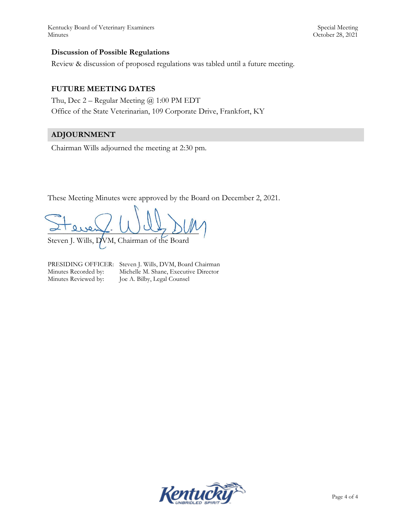Kentucky Board of Veterinary Examiners Special Meeting Special Meeting Special Meeting Minutes October 28, 2021

#### **Discussion of Possible Regulations**

Review & discussion of proposed regulations was tabled until a future meeting.

#### **FUTURE MEETING DATES**

Thu, Dec 2 – Regular Meeting @ 1:00 PM EDT Office of the State Veterinarian, 109 Corporate Drive, Frankfort, KY

# **ADJOURNMENT**

Chairman Wills adjourned the meeting at 2:30 pm.

These Meeting Minutes were approved by the Board on December 2, 2021.

 $\alpha$  diens. Why sure Steven J. Wills, DVM, Chairman of the Board

PRESIDING OFFICER: Steven J. Wills, DVM, Board Chairman Minutes Recorded by: Michelle M. Shane, Executive Director Minutes Reviewed by: Joe A. Bilby, Legal Counsel

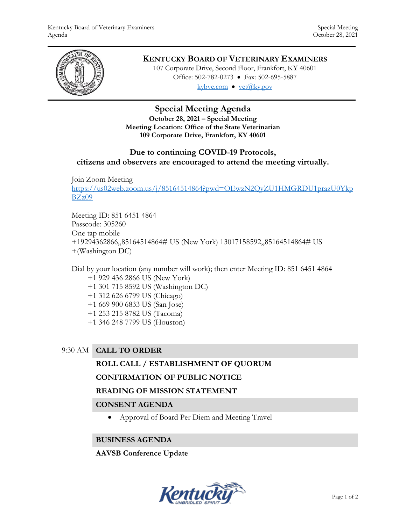

# **KENTUCKY BOARD OF VETERINARY EXAMINERS**

107 Corporate Drive, Second Floor, Frankfort, KY 40601 Office: 502-782-0273 • Fax: 502-695-5887 kybve.com  $\bullet$  yet $(\partial_k ky.gov)$ 

# **Special Meeting Agenda**

**October 28, 2021 – Special Meeting Meeting Location: Office of the State Veterinarian 109 Corporate Drive, Frankfort, KY 40601**

## **Due to continuing COVID-19 Protocols,**

**citizens and observers are encouraged to attend the meeting virtually.**

Join Zoom Meeting [https://us02web.zoom.us/j/85164514864?pwd=OEwzN2QyZU1HMGRDU1prazU0Ykp](https://us02web.zoom.us/j/85164514864?pwd=OEwzN2QyZU1HMGRDU1prazU0YkpBZz09) [BZz09](https://us02web.zoom.us/j/85164514864?pwd=OEwzN2QyZU1HMGRDU1prazU0YkpBZz09)

Meeting ID: 851 6451 4864 Passcode: 305260 One tap mobile +19294362866,,85164514864# US (New York) 13017158592,,85164514864# US +(Washington DC)

Dial by your location (any number will work); then enter Meeting ID: 851 6451 4864 +1 929 436 2866 US (New York) +1 301 715 8592 US (Washington DC) +1 312 626 6799 US (Chicago) +1 669 900 6833 US (San Jose) +1 253 215 8782 US (Tacoma) +1 346 248 7799 US (Houston)

## 9:30 AM **CALL TO ORDER**

## **ROLL CALL / ESTABLISHMENT OF QUORUM**

## **CONFIRMATION OF PUBLIC NOTICE**

## **READING OF MISSION STATEMENT**

## **CONSENT AGENDA**

Approval of Board Per Diem and Meeting Travel

## **BUSINESS AGENDA**

## **AAVSB Conference Update**